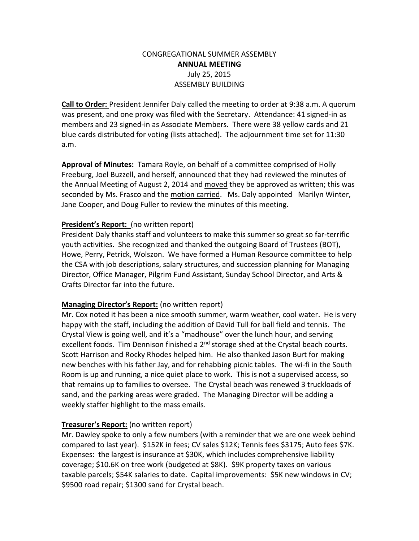# CONGREGATIONAL SUMMER ASSEMBLY **ANNUAL MEETING** July 25, 2015 ASSEMBLY BUILDING

**Call to Order:** President Jennifer Daly called the meeting to order at 9:38 a.m. A quorum was present, and one proxy was filed with the Secretary. Attendance: 41 signed-in as members and 23 signed-in as Associate Members. There were 38 yellow cards and 21 blue cards distributed for voting (lists attached). The adjournment time set for 11:30 a.m.

**Approval of Minutes:** Tamara Royle, on behalf of a committee comprised of Holly Freeburg, Joel Buzzell, and herself, announced that they had reviewed the minutes of the Annual Meeting of August 2, 2014 and moved they be approved as written; this was seconded by Ms. Frasco and the motion carried. Ms. Daly appointed Marilyn Winter, Jane Cooper, and Doug Fuller to review the minutes of this meeting.

### **President's Report:** (no written report)

President Daly thanks staff and volunteers to make this summer so great so far-terrific youth activities. She recognized and thanked the outgoing Board of Trustees (BOT), Howe, Perry, Petrick, Wolszon. We have formed a Human Resource committee to help the CSA with job descriptions, salary structures, and succession planning for Managing Director, Office Manager, Pilgrim Fund Assistant, Sunday School Director, and Arts & Crafts Director far into the future.

## **Managing Director's Report:** (no written report)

Mr. Cox noted it has been a nice smooth summer, warm weather, cool water. He is very happy with the staff, including the addition of David Tull for ball field and tennis. The Crystal View is going well, and it's a "madhouse" over the lunch hour, and serving excellent foods. Tim Dennison finished a  $2<sup>nd</sup>$  storage shed at the Crystal beach courts. Scott Harrison and Rocky Rhodes helped him. He also thanked Jason Burt for making new benches with his father Jay, and for rehabbing picnic tables. The wi-fi in the South Room is up and running, a nice quiet place to work. This is not a supervised access, so that remains up to families to oversee. The Crystal beach was renewed 3 truckloads of sand, and the parking areas were graded. The Managing Director will be adding a weekly staffer highlight to the mass emails.

## **Treasurer's Report:** (no written report)

Mr. Dawley spoke to only a few numbers (with a reminder that we are one week behind compared to last year). \$152K in fees; CV sales \$12K; Tennis fees \$3175; Auto fees \$7K. Expenses: the largest is insurance at \$30K, which includes comprehensive liability coverage; \$10.6K on tree work (budgeted at \$8K). \$9K property taxes on various taxable parcels; \$54K salaries to date. Capital improvements: \$5K new windows in CV; \$9500 road repair; \$1300 sand for Crystal beach.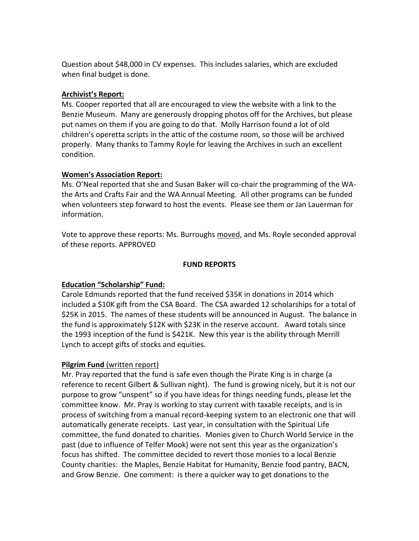Question about \$48,000 in CV expenses. This includes salaries, which are excluded when final budget is done.

### **Archivist's Report:**

Ms. Cooper reported that all are encouraged to view the website with a link to the Benzie Museum. Many are generously dropping photos off for the Archives, but please put names on them if you are going to do that. Molly Harrison found a lot of old children's operetta scripts in the attic of the costume room, so those will be archived properly. Many thanks to Tammy Royle for leaving the Archives in such an excellent condition.

### **Women's Association Report:**

Ms. O'Neal reported that she and Susan Baker will co-chair the programming of the WAthe Arts and Crafts Fair and the WA Annual Meeting. All other programs can be funded when volunteers step forward to host the events. Please see them or Jan Lauerman for information.

Vote to approve these reports: Ms. Burroughs moved, and Ms. Royle seconded approval of these reports. APPROVED

#### **FUND REPORTS**

## **Education "Scholarship" Fund:**

Carole Edmunds reported that the fund received \$35K in donations in 2014 which included a \$10K gift from the CSA Board. The CSA awarded 12 scholarships for a total of \$25K in 2015. The names of these students will be announced in August. The balance in the fund is approximately \$12K with \$23K in the reserve account. Award totals since the 1993 inception of the fund is \$421K. New this year is the ability through Merrill Lynch to accept gifts of stocks and equities.

#### **Pilgrim Fund** (written report)

Mr. Pray reported that the fund is safe even though the Pirate King is in charge (a reference to recent Gilbert & Sullivan night). The fund is growing nicely, but it is not our purpose to grow "unspent" so if you have ideas for things needing funds, please let the committee know. Mr. Pray is working to stay current with taxable receipts, and is in process of switching from a manual record-keeping system to an electronic one that will automatically generate receipts. Last year, in consultation with the Spiritual Life committee, the fund donated to charities. Monies given to Church World Service in the past (due to influence of Telfer Mook) were not sent this year as the organization's focus has shifted. The committee decided to revert those monies to a local Benzie County charities: the Maples, Benzie Habitat for Humanity, Benzie food pantry, BACN, and Grow Benzie. One comment: is there a quicker way to get donations to the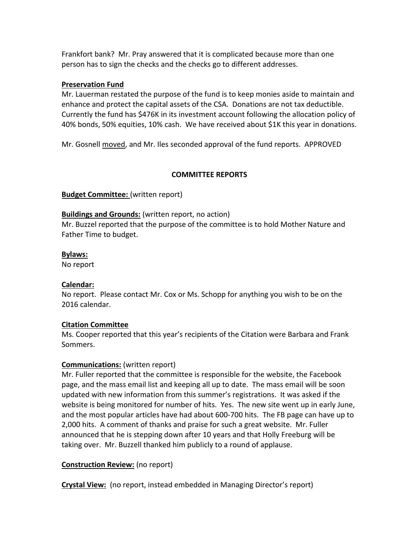Frankfort bank? Mr. Pray answered that it is complicated because more than one person has to sign the checks and the checks go to different addresses.

### **Preservation Fund**

Mr. Lauerman restated the purpose of the fund is to keep monies aside to maintain and enhance and protect the capital assets of the CSA. Donations are not tax deductible. Currently the fund has \$476K in its investment account following the allocation policy of 40% bonds, 50% equities, 10% cash. We have received about \$1K this year in donations.

Mr. Gosnell moved, and Mr. Iles seconded approval of the fund reports. APPROVED

## **COMMITTEE REPORTS**

**Budget Committee:** (written report)

### **Buildings and Grounds:** (written report, no action)

Mr. Buzzel reported that the purpose of the committee is to hold Mother Nature and Father Time to budget.

#### **Bylaws:**

No report

## **Calendar:**

No report. Please contact Mr. Cox or Ms. Schopp for anything you wish to be on the 2016 calendar.

## **Citation Committee**

Ms. Cooper reported that this year's recipients of the Citation were Barbara and Frank Sommers.

## **Communications:** (written report)

Mr. Fuller reported that the committee is responsible for the website, the Facebook page, and the mass email list and keeping all up to date. The mass email will be soon updated with new information from this summer's registrations. It was asked if the website is being monitored for number of hits. Yes. The new site went up in early June, and the most popular articles have had about 600-700 hits. The FB page can have up to 2,000 hits. A comment of thanks and praise for such a great website. Mr. Fuller announced that he is stepping down after 10 years and that Holly Freeburg will be taking over. Mr. Buzzell thanked him publicly to a round of applause.

## **Construction Review:** (no report)

**Crystal View:** (no report, instead embedded in Managing Director's report)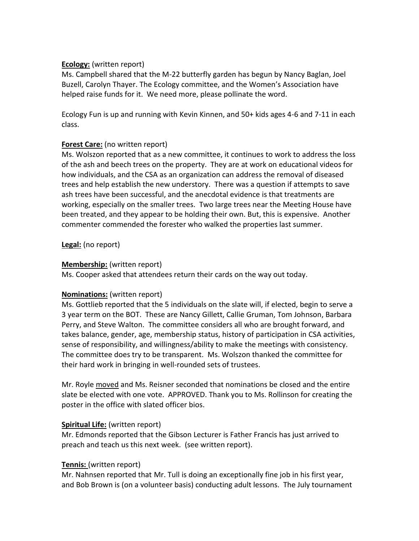### **Ecology:** (written report)

Ms. Campbell shared that the M-22 butterfly garden has begun by Nancy Baglan, Joel Buzell, Carolyn Thayer. The Ecology committee, and the Women's Association have helped raise funds for it. We need more, please pollinate the word.

Ecology Fun is up and running with Kevin Kinnen, and 50+ kids ages 4-6 and 7-11 in each class.

## **Forest Care:** (no written report)

Ms. Wolszon reported that as a new committee, it continues to work to address the loss of the ash and beech trees on the property. They are at work on educational videos for how individuals, and the CSA as an organization can address the removal of diseased trees and help establish the new understory. There was a question if attempts to save ash trees have been successful, and the anecdotal evidence is that treatments are working, especially on the smaller trees. Two large trees near the Meeting House have been treated, and they appear to be holding their own. But, this is expensive. Another commenter commended the forester who walked the properties last summer.

**Legal:** (no report)

### **Membership:** (written report)

Ms. Cooper asked that attendees return their cards on the way out today.

## **Nominations:** (written report)

Ms. Gottlieb reported that the 5 individuals on the slate will, if elected, begin to serve a 3 year term on the BOT. These are Nancy Gillett, Callie Gruman, Tom Johnson, Barbara Perry, and Steve Walton. The committee considers all who are brought forward, and takes balance, gender, age, membership status, history of participation in CSA activities, sense of responsibility, and willingness/ability to make the meetings with consistency. The committee does try to be transparent. Ms. Wolszon thanked the committee for their hard work in bringing in well-rounded sets of trustees.

Mr. Royle moved and Ms. Reisner seconded that nominations be closed and the entire slate be elected with one vote. APPROVED. Thank you to Ms. Rollinson for creating the poster in the office with slated officer bios.

## **Spiritual Life:** (written report)

Mr. Edmonds reported that the Gibson Lecturer is Father Francis has just arrived to preach and teach us this next week. (see written report).

#### **Tennis:** (written report)

Mr. Nahnsen reported that Mr. Tull is doing an exceptionally fine job in his first year, and Bob Brown is (on a volunteer basis) conducting adult lessons. The July tournament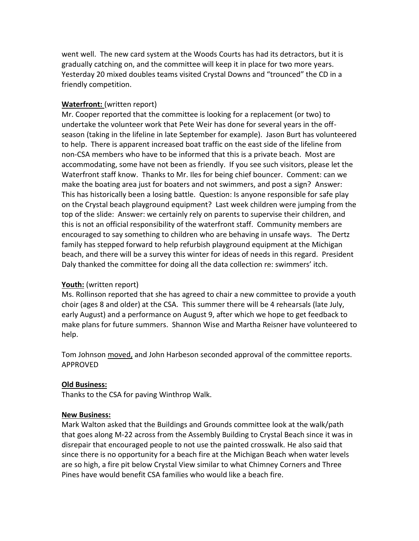went well. The new card system at the Woods Courts has had its detractors, but it is gradually catching on, and the committee will keep it in place for two more years. Yesterday 20 mixed doubles teams visited Crystal Downs and "trounced" the CD in a friendly competition.

#### **Waterfront:** (written report)

Mr. Cooper reported that the committee is looking for a replacement (or two) to undertake the volunteer work that Pete Weir has done for several years in the offseason (taking in the lifeline in late September for example). Jason Burt has volunteered to help. There is apparent increased boat traffic on the east side of the lifeline from non-CSA members who have to be informed that this is a private beach. Most are accommodating, some have not been as friendly. If you see such visitors, please let the Waterfront staff know. Thanks to Mr. Iles for being chief bouncer. Comment: can we make the boating area just for boaters and not swimmers, and post a sign? Answer: This has historically been a losing battle. Question: Is anyone responsible for safe play on the Crystal beach playground equipment? Last week children were jumping from the top of the slide: Answer: we certainly rely on parents to supervise their children, and this is not an official responsibility of the waterfront staff. Community members are encouraged to say something to children who are behaving in unsafe ways. The Dertz family has stepped forward to help refurbish playground equipment at the Michigan beach, and there will be a survey this winter for ideas of needs in this regard. President Daly thanked the committee for doing all the data collection re: swimmers' itch.

#### **Youth:** (written report)

Ms. Rollinson reported that she has agreed to chair a new committee to provide a youth choir (ages 8 and older) at the CSA. This summer there will be 4 rehearsals (late July, early August) and a performance on August 9, after which we hope to get feedback to make plans for future summers. Shannon Wise and Martha Reisner have volunteered to help.

Tom Johnson moved, and John Harbeson seconded approval of the committee reports. APPROVED

#### **Old Business:**

Thanks to the CSA for paving Winthrop Walk.

#### **New Business:**

Mark Walton asked that the Buildings and Grounds committee look at the walk/path that goes along M-22 across from the Assembly Building to Crystal Beach since it was in disrepair that encouraged people to not use the painted crosswalk. He also said that since there is no opportunity for a beach fire at the Michigan Beach when water levels are so high, a fire pit below Crystal View similar to what Chimney Corners and Three Pines have would benefit CSA families who would like a beach fire.